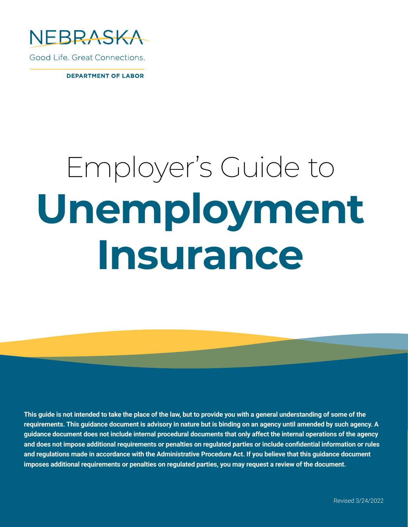

Good Life, Great Connections.

**DEPARTMENT OF LABOR** 

# Employer's Guide to **Unemployment Insurance**

**This guide is not intended to take the place of the law, but to provide you with a general understanding of some of the requirements. This guidance document is advisory in nature but is binding on an agency until amended by such agency. A guidance document does not include internal procedural documents that only affect the internal operations of the agency and does not impose additional requirements or penalties on regulated parties or include confidential information or rules and regulations made in accordance with the Administrative Procedure Act. If you believe that this guidance document imposes additional requirements or penalties on regulated parties, you may request a review of the document.**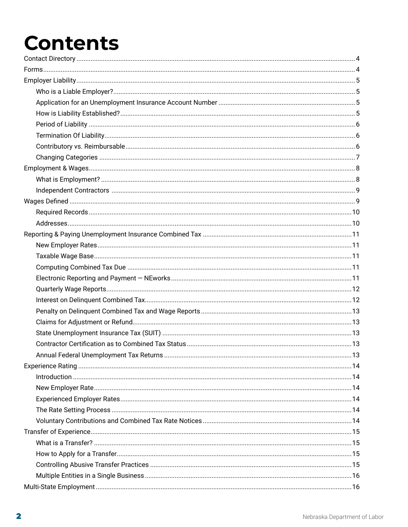# **Contents**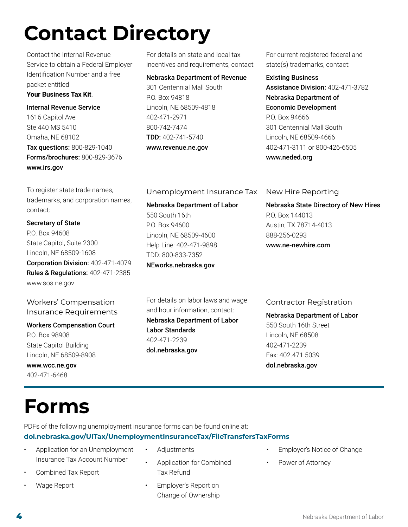# <span id="page-3-0"></span>**Contact Directory**

Contact the Internal Revenue Service to obtain a Federal Employer Identification Number and a free packet entitled **Your Business Tax Kit**.

Internal Revenue Service 1616 Capitol Ave Ste 440 MS 5410 Omaha, NE 68102 Tax questions: 800-829-1040 Forms/brochures: 800-829-3676 [www.irs.gov](http://www.irs.gov)

To register state trade names, trademarks, and corporation names, contact:

Secretary of State P.O. Box 94608 State Capitol, Suite 2300 Lincoln, NE 68509-1608 Corporation Division: 402-471-4079 Rules & Regulations: 402-471-2385 [www.sos.ne.gov](http://www.sos.ne.gov)

Workers' Compensation Insurance Requirements

# Workers Compensation Court P.O. Box 98908

State Capitol Building Lincoln, NE 68509-8908 [www.wcc.ne.gov](http://www.wcc.ne.gov)

402-471-6468

# **Forms**

PDFs of the following unemployment insurance forms can be found online at:

### **[dol.nebraska.gov/UITax/UnemploymentInsuranceTax/FileTransfersTaxForms](http://dol.nebraska.gov/UITax/UnemploymentInsuranceTax/FileTransfersTaxForms)**

• Adjustments

Tax Refund

• Employer's Report on Change of Ownership

- Application for an Unemployment Insurance Tax Account Number
- Combined Tax Report
- Wage Report

For details on state and local tax incentives and requirements, contact:

### Nebraska Department of Revenue

301 Centennial Mall South P.O. Box 94818 Lincoln, NE 68509-4818 402-471-2971 800-742-7474 TDD: 402-741-5740 [www.revenue.ne.gov](http://www.revenue.ne.gov)

For current registered federal and state(s) trademarks, contact:

### Existing Business

Assistance Division: 402-471-3782 Nebraska Department of Economic Development P.O. Box 94666 301 Centennial Mall South Lincoln, NE 68509-4666 402-471-3111 or 800-426-6505 [www.neded.org](http://www.neded.org)

Unemployment Insurance Tax

Nebraska Department of Labor 550 South 16th P.O. Box 94600 Lincoln, NE 68509-4600 Help Line: 402-471-9898 TDD: 800-833-7352 [NEworks.nebraska.gov](http://dol.nebraska.gov/UIConnect)

For details on labor laws and wage and hour information, contact: Nebraska Department of Labor Labor Standards 402-471-2239 [dol.nebraska.gov](http://dol.nebraska.gov)

New Hire Reporting

Nebraska State Directory of New Hires P.O. Box 144013 Austin, TX 78714-4013 888-256-0293 [www.ne-newhire.com](http://www.ne-newhire.com)

# Contractor Registration

Nebraska Department of Labor 550 South 16th Street Lincoln, NE 68508 402-471-2239 Fax: 402.471.5039 [dol.nebraska.gov](http://dol.nebraska.gov)

• Application for Combined • Employer's Notice of Change Power of Attorney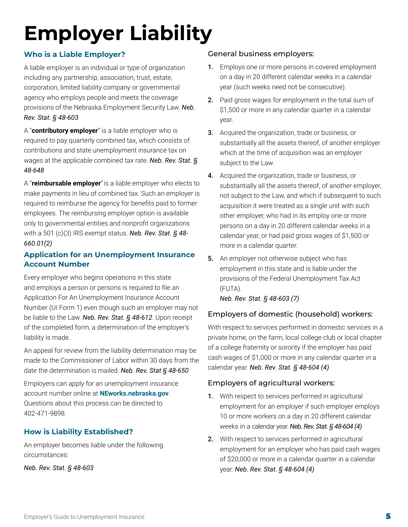# <span id="page-4-0"></span>**Employer Liability**

# **Who is a Liable Employer?**

A liable employer is an individual or type of organization including any partnership, association, trust, estate, corporation, limited liability company or governmental agency who employs people and meets the coverage provisions of the Nebraska Employment Security Law. *Neb. Rev. Stat. § 48-603*

A "**contributory employer**" is a liable employer who is required to pay quarterly combined tax, which consists of contributions and state unemployment insurance tax on wages at the applicable combined tax rate. *Neb. Rev. Stat. § 48-648*

A "**reimbursable employer**"is a liable employer who elects to make payments in lieu of combined tax. Such an employer is required to reimburse the agency for benefits paid to former employees. The reimbursing employer option is available only to governmental entities and nonprofit organizations with a 501 (c)(3) IRS exempt status. *Neb. Rev. Stat. § 48- 660.01(2)*

### **Application for an Unemployment Insurance Account Number**

Every employer who begins operations in this state and employs a person or persons is required to file an Application For An Unemployment Insurance Account Number (UI Form 1) even though such an employer may not be liable to the Law. *Neb. Rev. Stat. § 48-612*. Upon receipt of the completed form, a determination of the employer's liability is made.

An appeal for review from the liability determination may be made to the Commissioner of Labor within 30 days from the date the determination is mailed. *Neb. Rev. Stat § 48-650*

Employers can apply for an unemployment insurance account number online at **[NEworks.nebraska.gov](http://dol.nebraska.gov/uiconnect)**. Questions about this process can be directed to 402-471-9898.

### **How is Liability Established?**

An employer becomes liable under the following circumstances:

*Neb. Rev. Stat. § 48-603*

### General business employers:

- 1. Employs one or more persons in covered employment on a day in 20 different calendar weeks in a calendar year (such weeks need not be consecutive).
- 2. Paid gross wages for employment in the total sum of \$1,500 or more in any calendar quarter in a calendar year.
- 3. Acquired the organization, trade or business, or substantially all the assets thereof, of another employer which at the time of acquisition was an employer subject to the Law.
- 4. Acquired the organization, trade or business, or substantially all the assets thereof, of another employer, not subject to the Law, and which if subsequent to such acquisition it were treated as a single unit with such other employer, who had in its employ one or more persons on a day in 20 different calendar weeks in a calendar year, or had paid gross wages of \$1,500 or more in a calendar quarter.
- **5.** An employer not otherwise subject who has employment in this state and is liable under the provisions of the Federal Unemployment Tax Act (FUTA).

*Neb. Rev. Stat. § 48-603 (7)*

### Employers of domestic (household) workers:

With respect to services performed in domestic services in a private home, on the farm, local college club or local chapter of a college fraternity or sorority if the employer has paid cash wages of \$1,000 or more in any calendar quarter in a calendar year. *Neb. Rev. Stat. § 48-604 (4)*

### Employers of agricultural workers:

- 1. With respect to services performed in agricultural employment for an employer if such employer employs 10 or more workers on a day in 20 different calendar weeks in a calendar year. *Neb. Rev. Stat. § 48-604 (4)*
- 2. With respect to services performed in agricultural employment for an employer who has paid cash wages of \$20,000 or more in a calendar quarter in a calendar year. *Neb. Rev. Stat. § 48-604 (4)*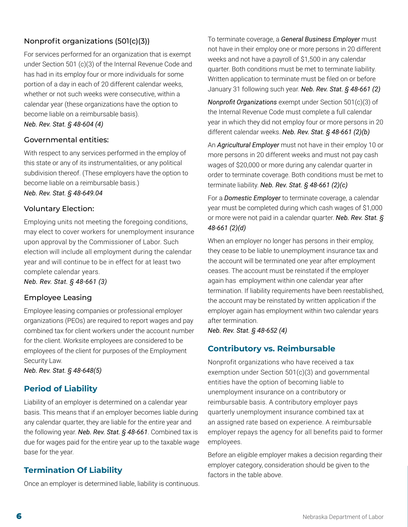## <span id="page-5-0"></span>Nonprofit organizations (501(c)(3))

For services performed for an organization that is exempt under Section 501 (c)(3) of the Internal Revenue Code and has had in its employ four or more individuals for some portion of a day in each of 20 different calendar weeks, whether or not such weeks were consecutive, within a calendar year (these organizations have the option to become liable on a reimbursable basis).

*Neb. Rev. Stat. § 48-604 (4)*

#### Governmental entities:

With respect to any services performed in the employ of this state or any of its instrumentalities, or any political subdivision thereof. (These employers have the option to become liable on a reimbursable basis.)

*Neb. Rev. Stat. § 48-649.04*

#### Voluntary Election:

Employing units not meeting the foregoing conditions, may elect to cover workers for unemployment insurance upon approval by the Commissioner of Labor. Such election will include all employment during the calendar year and will continue to be in effect for at least two complete calendar years.

*Neb. Rev. Stat. § 48-661 (3)*

#### Employee Leasing

Employee leasing companies or professional employer organizations (PEOs) are required to report wages and pay combined tax for client workers under the account number for the client. Worksite employees are considered to be employees of the client for purposes of the Employment Security Law.

*Neb. Rev. Stat. § 48-648(5)*

### **Period of Liability**

Liability of an employer is determined on a calendar year basis. This means that if an employer becomes liable during any calendar quarter, they are liable for the entire year and the following year. *Neb. Rev. Stat. § 48-661*. Combined tax is due for wages paid for the entire year up to the taxable wage base for the year.

### **Termination Of Liability**

Once an employer is determined liable, liability is continuous.

To terminate coverage, a *General Business Employer* must not have in their employ one or more persons in 20 different weeks and not have a payroll of \$1,500 in any calendar quarter. Both conditions must be met to terminate liability. Written application to terminate must be filed on or before January 31 following such year. *Neb. Rev. Stat. § 48-661 (2)*

*Nonprofit Organizations* exempt under Section 501(c)(3) of the Internal Revenue Code must complete a full calendar year in which they did not employ four or more persons in 20 different calendar weeks. *Neb. Rev. Stat. § 48-661 (2)(b)*

An *Agricultural Employer* must not have in their employ 10 or more persons in 20 different weeks and must not pay cash wages of \$20,000 or more during any calendar quarter in order to terminate coverage. Both conditions must be met to terminate liability. *Neb. Rev. Stat. § 48-661 (2)(c)*

For a *Domestic Employer* to terminate coverage, a calendar year must be completed during which cash wages of \$1,000 or more were not paid in a calendar quarter. *Neb. Rev. Stat. § 48-661 (2)(d)*

When an employer no longer has persons in their employ, they cease to be liable to unemployment insurance tax and the account will be terminated one year after employment ceases. The account must be reinstated if the employer again has employment within one calendar year after termination. If liability requirements have been reestablished, the account may be reinstated by written application if the employer again has employment within two calendar years after termination.

*Neb. Rev. Stat. § 48-652 (4)*

### **Contributory vs. Reimbursable**

Nonprofit organizations who have received a tax exemption under Section 501(c)(3) and governmental entities have the option of becoming liable to unemployment insurance on a contributory or reimbursable basis. A contributory employer pays quarterly unemployment insurance combined tax at an assigned rate based on experience. A reimbursable employer repays the agency for all benefits paid to former employees.

Before an eligible employer makes a decision regarding their employer category, consideration should be given to the factors in the table above.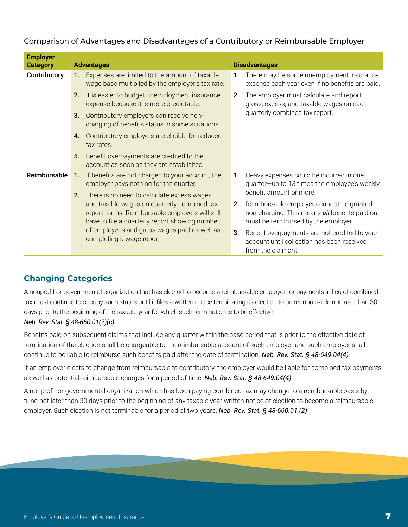#### <span id="page-6-0"></span>Comparison of Advantages and Disadvantages of a Contributory or Reimbursable Employer

| <b>Employer</b><br><b>Category</b> |                                                                                                                                                  | <b>Advantages</b>                                                                                 |    | <b>Disadvantages</b>                                                                                                              |
|------------------------------------|--------------------------------------------------------------------------------------------------------------------------------------------------|---------------------------------------------------------------------------------------------------|----|-----------------------------------------------------------------------------------------------------------------------------------|
| Contributory                       | 1.                                                                                                                                               | Expenses are limited to the amount of taxable<br>wage base multiplied by the employer's tax rate. | 1. | There may be some unemployment insurance<br>expense each year even if no benefits are paid.                                       |
|                                    | It is easier to budget unemployment insurance<br>2.<br>expense because it is more predictable.                                                   |                                                                                                   | 2. | The employer must calculate and report<br>gross, excess, and taxable wages on each                                                |
|                                    | 3.                                                                                                                                               | Contributory employers can receive non-<br>charging of benefits status in some situations.        |    | quarterly combined tax report.                                                                                                    |
|                                    | 4.                                                                                                                                               | Contributory employers are eligible for reduced<br>tax rates.                                     |    |                                                                                                                                   |
|                                    | 5.                                                                                                                                               | Benefit overpayments are credited to the<br>account as soon as they are established.              |    |                                                                                                                                   |
| Reimbursable                       | $\mathbf{1}$ .                                                                                                                                   | If benefits are not charged to your account, the<br>employer pays nothing for the quarter.        |    | Heavy expenses could be incurred in one<br>quarter-up to 13 times the employee's weekly                                           |
|                                    | 2.                                                                                                                                               | There is no need to calculate excess wages                                                        |    | benefit amount or more.                                                                                                           |
|                                    | and taxable wages on quarterly combined tax<br>report forms. Reimbursable employers will still<br>have to file a quarterly report showing number |                                                                                                   | 2. | Reimbursable employers cannot be granted<br>non-charging. This means all benefits paid out<br>must be reimbursed by the employer. |
|                                    |                                                                                                                                                  | of employees and gross wages paid as well as<br>completing a wage report.                         | 3. | Benefit overpayments are not credited to your<br>account until collection has been received<br>from the claimant.                 |

# **Changing Categories**

A nonprofit or governmental organization that has elected to become a reimbursable employer for payments in lieu of combined tax must continue to occupy such status until it files a written notice terminating its election to be reimbursable not later than 30 days prior to the beginning of the taxable year for which such termination is to be effective.

### *Neb. Rev. Stat. § 48-660.01(2)(c)*

Benefits paid on subsequent claims that include any quarter within the base period that is prior to the effective date of termination of the election shall be chargeable to the reimbursable account of such employer and such employer shall continue to be liable to reimburse such benefits paid after the date of termination. *Neb. Rev. Stat. § 48-649.04(4)*

If an employer elects to change from reimbursable to contributory, the employer would be liable for combined tax payments as well as potential reimbursable charges for a period of time. *Neb. Rev. Stat. § 48-649.04(4)*

A nonprofit or governmental organization which has been paying combined tax may change to a reimbursable basis by filing not later than 30 days prior to the beginning of any taxable year written notice of election to become a reimbursable employer. Such election is not terminable for a period of two years. *Neb. Rev. Stat. § 48-660.01 (2)*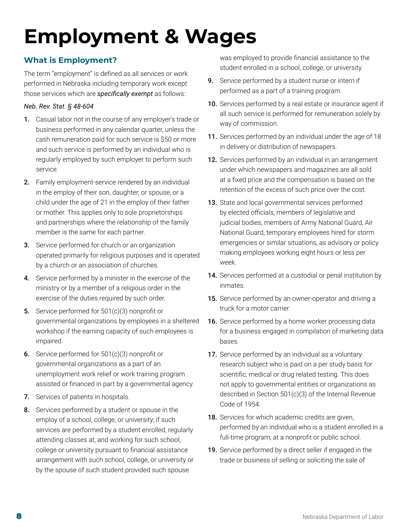# <span id="page-7-0"></span>**Employment & Wages**

# **What is Employment?**

The term "employment" is defined as all services or work performed in Nebraska including temporary work except those services which are *specifically exempt* as follows:

### *Neb. Rev. Stat. § 48-604*

- 1. Casual labor not in the course of any employer's trade or business performed in any calendar quarter, unless the cash remuneration paid for such service is \$50 or more and such service is performed by an individual who is regularly employed by such employer to perform such service.
- 2. Family employment-service rendered by an individual in the employ of their son, daughter, or spouse, or a child under the age of 21 in the employ of their father or mother. This applies only to sole proprietorships and partnerships where the relationship of the family member is the same for each partner.
- **3.** Service performed for church or an organization operated primarily for religious purposes and is operated by a church or an association of churches.
- 4. Service performed by a minister in the exercise of the ministry or by a member of a religious order in the exercise of the duties required by such order.
- 5. Service performed for 501(c)(3) nonprofit or governmental organizations by employees in a sheltered workshop if the earning capacity of such employees is impaired.
- 6. Service performed for 501(c)(3) nonprofit or governmental organizations as a part of an unemployment work relief or work training program assisted or financed in part by a governmental agency.
- 7. Services of patients in hospitals.
- 8. Services performed by a student or spouse in the employ of a school, college, or university; if such services are performed by a student enrolled, regularly attending classes at, and working for such school, college or university pursuant to financial assistance arrangement with such school, college, or university or by the spouse of such student provided such spouse

was employed to provide financial assistance to the student enrolled in a school, college, or university.

- **9.** Service performed by a student nurse or intern if performed as a part of a training program.
- 10. Services performed by a real estate or insurance agent if all such service is performed for remuneration solely by way of commission.
- 11. Services performed by an individual under the age of 18 in delivery or distribution of newspapers.
- **12.** Services performed by an individual in an arrangement under which newspapers and magazines are all sold at a fixed price and the compensation is based on the retention of the excess of such price over the cost.
- 13. State and local governmental services performed by elected officials, members of legislative and judicial bodies, members of Army National Guard, Air National Guard, temporary employees hired for storm emergencies or similar situations, as advisory or policy making employees working eight hours or less per week.
- 14. Services performed at a custodial or penal institution by inmates.
- 15. Service performed by an owner-operator and driving a truck for a motor carrier.
- 16. Service performed by a home worker processing data for a business engaged in compilation of marketing data bases.
- 17. Service performed by an individual as a voluntary research subject who is paid on a per study basis for scientific, medical or drug related testing. This does not apply to governmental entities or organizations as described in Section 501(c)(3) of the Internal Revenue Code of 1954.
- 18. Services for which academic credits are given, performed by an individual who is a student enrolled in a full-time program, at a nonprofit or public school.
- 19. Service performed by a direct seller if engaged in the trade or business of selling or soliciting the sale of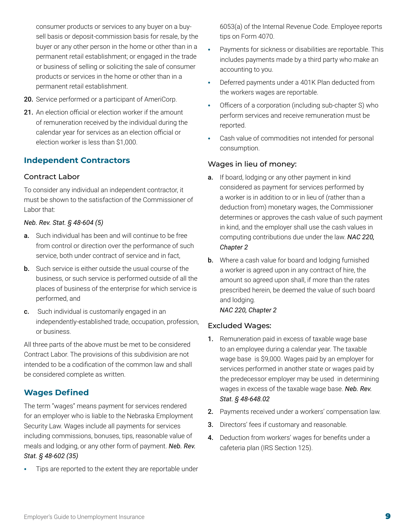<span id="page-8-0"></span>consumer products or services to any buyer on a buysell basis or deposit-commission basis for resale, by the buyer or any other person in the home or other than in a permanent retail establishment; or engaged in the trade or business of selling or soliciting the sale of consumer products or services in the home or other than in a permanent retail establishment.

- 20. Service performed or a participant of AmeriCorp.
- 21. An election official or election worker if the amount of remuneration received by the individual during the calendar year for services as an election official or election worker is less than \$1,000.

# **Independent Contractors**

### Contract Labor

To consider any individual an independent contractor, it must be shown to the satisfaction of the Commissioner of Labor that:

#### *Neb. Rev. Stat. § 48-604 (5)*

- **a.** Such individual has been and will continue to be free from control or direction over the performance of such service, both under contract of service and in fact,
- **b.** Such service is either outside the usual course of the business, or such service is performed outside of all the places of business of the enterprise for which service is performed, and
- c. Such individual is customarily engaged in an independently-established trade, occupation, profession, or business.

All three parts of the above must be met to be considered Contract Labor. The provisions of this subdivision are not intended to be a codification of the common law and shall be considered complete as written.

### **Wages Defined**

The term "wages" means payment for services rendered for an employer who is liable to the Nebraska Employment Security Law. Wages include all payments for services including commissions, bonuses, tips, reasonable value of meals and lodging, or any other form of payment. *Neb. Rev. Stat. § 48-602 (35)*

**•** Tips are reported to the extent they are reportable under

6053(a) of the Internal Revenue Code. Employee reports tips on Form 4070.

- **•** Payments for sickness or disabilities are reportable. This includes payments made by a third party who make an accounting to you.
- **•** Deferred payments under a 401K Plan deducted from the workers wages are reportable.
- **•** Officers of a corporation (including sub-chapter S) who perform services and receive remuneration must be reported.
- **•** Cash value of commodities not intended for personal consumption.

### Wages in lieu of money:

- a. If board, lodging or any other payment in kind considered as payment for services performed by a worker is in addition to or in lieu of (rather than a deduction from) monetary wages, the Commissioner determines or approves the cash value of such payment in kind, and the employer shall use the cash values in computing contributions due under the law. *NAC 220, Chapter 2*
- **b.** Where a cash value for board and lodging furnished a worker is agreed upon in any contract of hire, the amount so agreed upon shall, if more than the rates prescribed herein, be deemed the value of such board and lodging.

#### *NAC 220, Chapter 2*

### Excluded Wages:

- 1. Remuneration paid in excess of taxable wage base to an employee during a calendar year. The taxable wage base is \$9,000. Wages paid by an employer for services performed in another state or wages paid by the predecessor employer may be used in determining wages in excess of the taxable wage base. *Neb. Rev. Stat. § 48-648.02*
- 2. Payments received under a workers' compensation law.
- **3.** Directors' fees if customary and reasonable.
- 4. Deduction from workers' wages for benefits under a cafeteria plan (IRS Section 125).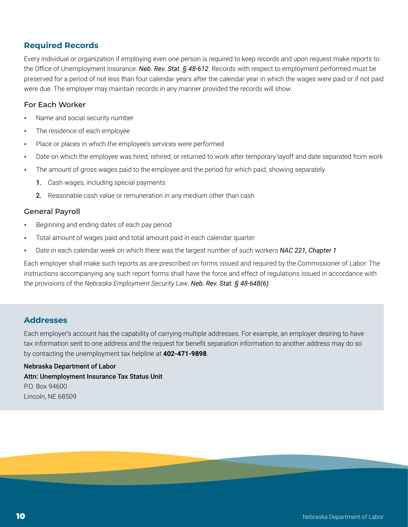# <span id="page-9-0"></span>**Required Records**

Every individual or organization if employing even one person is required to keep records and upon request make reports to the Office of Unemployment Insurance. *Neb. Rev. Stat. § 48-612*. Records with respect to employment performed must be preserved for a period of not less than four calendar years after the calendar year in which the wages were paid or if not paid were due. The employer may maintain records in any manner provided the records will show:

#### For Each Worker

- **•** Name and social security number
- **•** The residence of each employee
- **•** Place or places in which the employee's services were performed
- **•** Date on which the employee was hired, rehired, or returned to work after temporary layoff and date separated from work
- **•** The amount of gross wages paid to the employee and the period for which paid, showing separately
	- 1. Cash wages, including special payments
	- 2. Reasonable cash value or remuneration in any medium other than cash

#### General Payroll

- **•** Beginning and ending dates of each pay period
- **•** Total amount of wages paid and total amount paid in each calendar quarter
- **•** Date in each calendar week on which there was the largest number of such workers *NAC 221, Chapter 1*

Each employer shall make such reports as are prescribed on forms issued and required by the Commissioner of Labor. The instructions accompanying any such report forms shall have the force and effect of regulations issued in accordance with the provisions of the *Nebraska Employment Security Law*. *Neb. Rev. Stat. § 48-648(6)*

#### **Addresses**

Each employer's account has the capability of carrying multiple addresses. For example, an employer desiring to have tax information sent to one address and the request for benefit separation information to another address may do so by contacting the unemployment tax helpline at **402-471-9898**.

Nebraska Department of Labor Attn: Unemployment Insurance Tax Status Unit P.O. Box 94600 Lincoln, NE 68509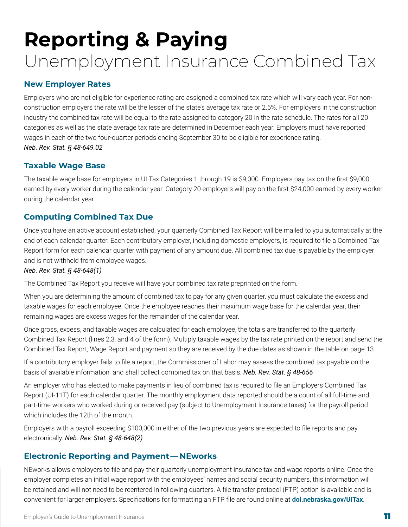# <span id="page-10-0"></span>**Reporting & Paying**  Unemployment Insurance Combined Tax

# **New Employer Rates**

Employers who are not eligible for experience rating are assigned a combined tax rate which will vary each year. For nonconstruction employers the rate will be the lesser of the state's average tax rate or 2.5%. For employers in the construction industry the combined tax rate will be equal to the rate assigned to category 20 in the rate schedule. The rates for all 20 categories as well as the state average tax rate are determined in December each year. Employers must have reported wages in each of the two four-quarter periods ending September 30 to be eligible for experience rating. *Neb. Rev. Stat. § 48-649.02*

### **Taxable Wage Base**

The taxable wage base for employers in UI Tax Categories 1 through 19 is \$9,000. Employers pay tax on the first \$9,000 earned by every worker during the calendar year. Category 20 employers will pay on the first \$24,000 earned by every worker during the calendar year.

# **Computing Combined Tax Due**

Once you have an active account established, your quarterly Combined Tax Report will be mailed to you automatically at the end of each calendar quarter. Each contributory employer, including domestic employers, is required to file a Combined Tax Report form for each calendar quarter with payment of any amount due. All combined tax due is payable by the employer and is not withheld from employee wages.

#### *Neb. Rev. Stat. § 48-648(1)*

The Combined Tax Report you receive will have your combined tax rate preprinted on the form.

When you are determining the amount of combined tax to pay for any given quarter, you must calculate the excess and taxable wages for each employee. Once the employee reaches their maximum wage base for the calendar year, their remaining wages are excess wages for the remainder of the calendar year.

Once gross, excess, and taxable wages are calculated for each employee, the totals are transferred to the quarterly Combined Tax Report (lines 2,3, and 4 of the form). Multiply taxable wages by the tax rate printed on the report and send the Combined Tax Report, Wage Report and payment so they are received by the due dates as shown in the table on page 13.

If a contributory employer fails to file a report, the Commissioner of Labor may assess the combined tax payable on the basis of available information and shall collect combined tax on that basis. *Neb. Rev. Stat. § 48-656*

An employer who has elected to make payments in lieu of combined tax is required to file an Employers Combined Tax Report (UI-11T) for each calendar quarter. The monthly employment data reported should be a count of all full-time and part-time workers who worked during or received pay (subject to Unemployment Insurance taxes) for the payroll period which includes the 12th of the month.

Employers with a payroll exceeding \$100,000 in either of the two previous years are expected to file reports and pay electronically. *Neb. Rev. Stat. § 48-648(2)*

### **Electronic Reporting and Payment — NEworks**

NEworks allows employers to file and pay their quarterly unemployment insurance tax and wage reports online. Once the employer completes an initial wage report with the employees' names and social security numbers, this information will be retained and will not need to be reentered in following quarters. A file transfer protocol (FTP) option is available and is convenient for larger employers. Specifications for formatting an FTP file are found online at **[dol.nebraska.gov/UITax](http://dol.nebraska.gov/UITax)**.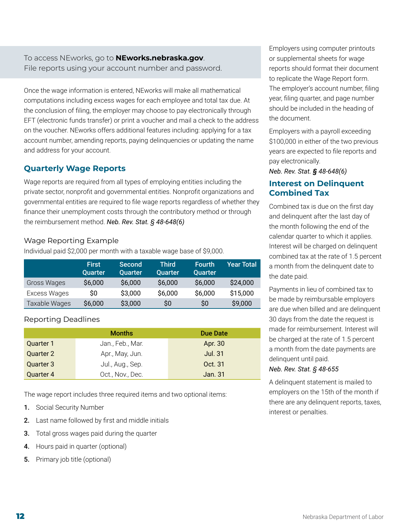<span id="page-11-0"></span>To access NEworks, go to **[NEworks.nebraska.gov](http://dol.nebraska.gov/UIConnect)**. File reports using your account number and password.

Once the wage information is entered, NEworks will make all mathematical computations including excess wages for each employee and total tax due. At the conclusion of filing, the employer may choose to pay electronically through EFT (electronic funds transfer) or print a voucher and mail a check to the address on the voucher. NEworks offers additional features including: applying for a tax account number, amending reports, paying delinquencies or updating the name and address for your account.

# **Quarterly Wage Reports**

Wage reports are required from all types of employing entities including the private sector, nonprofit and governmental entities. Nonprofit organizations and governmental entities are required to file wage reports regardless of whether they finance their unemployment costs through the contributory method or through the reimbursement method. *Neb. Rev. Stat. § 48-648(6)*

### Wage Reporting Example

Individual paid \$2,000 per month with a taxable wage base of \$9,000.

|               | <b>First</b><br><b>Quarter</b> | Second<br>Quarter | <b>Third</b><br>Quarter | <b>Fourth</b><br><b>Quarter</b> | <b>Year Total</b> |
|---------------|--------------------------------|-------------------|-------------------------|---------------------------------|-------------------|
| Gross Wages   | \$6,000                        | \$6,000           | \$6,000                 | \$6,000                         | \$24,000          |
| Excess Wages  | \$O                            | \$3,000           | \$6,000                 | \$6,000                         | \$15,000          |
| Taxable Wages | \$6,000                        | \$3,000           | SO.                     | SO.                             | \$9,000           |

### Reporting Deadlines

|           | <b>Months</b>    | Due Date       |
|-----------|------------------|----------------|
| Quarter 1 | Jan., Feb., Mar. | Apr. 30        |
| Quarter 2 | Apr., May, Jun.  | <b>Jul. 31</b> |
| Quarter 3 | Jul., Aug., Sep. | Oct. 31        |
| Quarter 4 | Oct., Nov., Dec. | Jan. 31        |

The wage report includes three required items and two optional items:

- 1. Social Security Number
- 2. Last name followed by first and middle initials
- **3.** Total gross wages paid during the quarter
- 4. Hours paid in quarter (optional)
- 5. Primary job title (optional)

Employers using computer printouts or supplemental sheets for wage reports should format their document to replicate the Wage Report form. The employer's account number, filing year, filing quarter, and page number should be included in the heading of the document.

Employers with a payroll exceeding \$100,000 in either of the two previous years are expected to file reports and pay electronically.

*Neb. Rev. Stat. § 48-648(6)*

# **Interest on Delinquent Combined Tax**

Combined tax is due on the first day and delinquent after the last day of the month following the end of the calendar quarter to which it applies. Interest will be charged on delinquent combined tax at the rate of 1.5 percent a month from the delinquent date to the date paid.

Payments in lieu of combined tax to be made by reimbursable employers are due when billed and are delinquent 30 days from the date the request is made for reimbursement. Interest will be charged at the rate of 1.5 percent a month from the date payments are delinquent until paid.

#### *Neb. Rev. Stat. § 48-655*

A delinquent statement is mailed to employers on the 15th of the month if there are any delinquent reports, taxes, interest or penalties.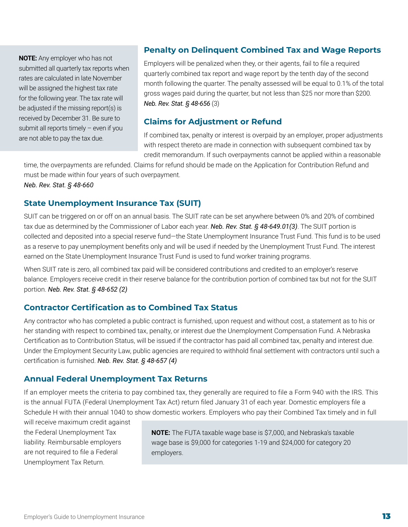<span id="page-12-0"></span>**NOTE:** Any employer who has not submitted all quarterly tax reports when rates are calculated in late November will be assigned the highest tax rate for the following year. The tax rate will be adjusted if the missing report(s) is received by December 31. Be sure to submit all reports timely – even if you are not able to pay the tax due.

### **Penalty on Delinquent Combined Tax and Wage Reports**

Employers will be penalized when they, or their agents, fail to file a required quarterly combined tax report and wage report by the tenth day of the second month following the quarter. The penalty assessed will be equal to 0.1% of the total gross wages paid during the quarter, but not less than \$25 nor more than \$200. *Neb. Rev. Stat. § 48-656* (3)

### **Claims for Adjustment or Refund**

If combined tax, penalty or interest is overpaid by an employer, proper adjustments with respect thereto are made in connection with subsequent combined tax by credit memorandum. If such overpayments cannot be applied within a reasonable

time, the overpayments are refunded. Claims for refund should be made on the Application for Contribution Refund and must be made within four years of such overpayment.

*Neb. Rev. Stat. § 48-660*

### **State Unemployment Insurance Tax (SUIT)**

SUIT can be triggered on or off on an annual basis. The SUIT rate can be set anywhere between 0% and 20% of combined tax due as determined by the Commissioner of Labor each year. *Neb. Rev. Stat. § 48-649.01(3)*. The SUIT portion is collected and deposited into a special reserve fund—the State Unemployment Insurance Trust Fund. This fund is to be used as a reserve to pay unemployment benefits only and will be used if needed by the Unemployment Trust Fund. The interest earned on the State Unemployment Insurance Trust Fund is used to fund worker training programs.

When SUIT rate is zero, all combined tax paid will be considered contributions and credited to an employer's reserve balance. Employers receive credit in their reserve balance for the contribution portion of combined tax but not for the SUIT portion. *Neb. Rev. Stat. § 48-652 (2)*

### **Contractor Certification as to Combined Tax Status**

Any contractor who has completed a public contract is furnished, upon request and without cost, a statement as to his or her standing with respect to combined tax, penalty, or interest due the Unemployment Compensation Fund. A Nebraska Certification as to Contribution Status, will be issued if the contractor has paid all combined tax, penalty and interest due. Under the Employment Security Law, public agencies are required to withhold final settlement with contractors until such a certification is furnished. *Neb. Rev. Stat. § 48-657 (4)*

### **Annual Federal Unemployment Tax Returns**

If an employer meets the criteria to pay combined tax, they generally are required to file a Form 940 with the IRS. This is the annual FUTA (Federal Unemployment Tax Act) return filed January 31 of each year. Domestic employers file a Schedule H with their annual 1040 to show domestic workers. Employers who pay their Combined Tax timely and in full

will receive maximum credit against the Federal Unemployment Tax liability. Reimbursable employers are not required to file a Federal Unemployment Tax Return.

**NOTE:** The FUTA taxable wage base is \$7,000, and Nebraska's taxable wage base is \$9,000 for categories 1-19 and \$24,000 for category 20 employers.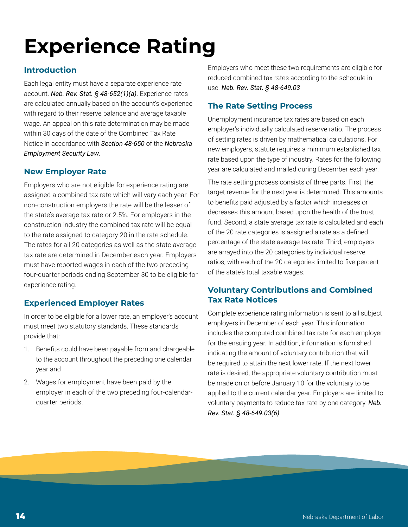# <span id="page-13-0"></span>**Experience Rating**

# **Introduction**

Each legal entity must have a separate experience rate account. *Neb. Rev. Stat. § 48-652(1)(a)*. Experience rates are calculated annually based on the account's experience with regard to their reserve balance and average taxable wage. An appeal on this rate determination may be made within 30 days of the date of the Combined Tax Rate Notice in accordance with *Section 48-650* of the *Nebraska Employment Security Law*.

# **New Employer Rate**

Employers who are not eligible for experience rating are assigned a combined tax rate which will vary each year. For non-construction employers the rate will be the lesser of the state's average tax rate or 2.5%. For employers in the construction industry the combined tax rate will be equal to the rate assigned to category 20 in the rate schedule. The rates for all 20 categories as well as the state average tax rate are determined in December each year. Employers must have reported wages in each of the two preceding four-quarter periods ending September 30 to be eligible for experience rating.

# **Experienced Employer Rates**

In order to be eligible for a lower rate, an employer's account must meet two statutory standards. These standards provide that:

- 1. Benefits could have been payable from and chargeable to the account throughout the preceding one calendar year and
- 2. Wages for employment have been paid by the employer in each of the two preceding four-calendarquarter periods.

Employers who meet these two requirements are eligible for reduced combined tax rates according to the schedule in use. *Neb. Rev. Stat. § 48-649.03*

# **The Rate Setting Process**

Unemployment insurance tax rates are based on each employer's individually calculated reserve ratio. The process of setting rates is driven by mathematical calculations. For new employers, statute requires a minimum established tax rate based upon the type of industry. Rates for the following year are calculated and mailed during December each year.

The rate setting process consists of three parts. First, the target revenue for the next year is determined. This amounts to benefits paid adjusted by a factor which increases or decreases this amount based upon the health of the trust fund. Second, a state average tax rate is calculated and each of the 20 rate categories is assigned a rate as a defined percentage of the state average tax rate. Third, employers are arrayed into the 20 categories by individual reserve ratios, with each of the 20 categories limited to five percent of the state's total taxable wages.

## **Voluntary Contributions and Combined Tax Rate Notices**

Complete experience rating information is sent to all subject employers in December of each year. This information includes the computed combined tax rate for each employer for the ensuing year. In addition, information is furnished indicating the amount of voluntary contribution that will be required to attain the next lower rate. If the next lower rate is desired, the appropriate voluntary contribution must be made on or before January 10 for the voluntary to be applied to the current calendar year. Employers are limited to voluntary payments to reduce tax rate by one category. *Neb. Rev. Stat. § 48-649.03(6)*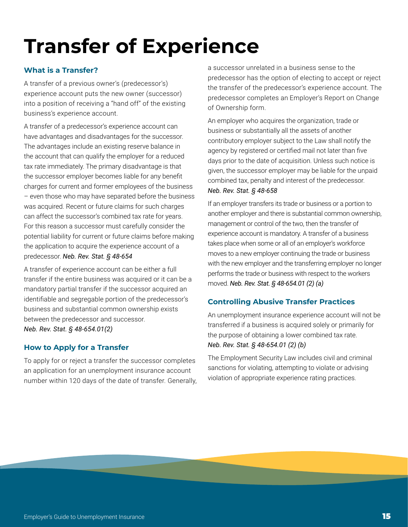# <span id="page-14-0"></span>**Transfer of Experience**

### **What is a Transfer?**

A transfer of a previous owner's (predecessor's) experience account puts the new owner (successor) into a position of receiving a "hand off" of the existing business's experience account.

A transfer of a predecessor's experience account can have advantages and disadvantages for the successor. The advantages include an existing reserve balance in the account that can qualify the employer for a reduced tax rate immediately. The primary disadvantage is that the successor employer becomes liable for any benefit charges for current and former employees of the business – even those who may have separated before the business was acquired. Recent or future claims for such charges can affect the successor's combined tax rate for years. For this reason a successor must carefully consider the potential liability for current or future claims before making the application to acquire the experience account of a predecessor. *Neb. Rev. Stat. § 48-654*

A transfer of experience account can be either a full transfer if the entire business was acquired or it can be a mandatory partial transfer if the successor acquired an identifiable and segregable portion of the predecessor's business and substantial common ownership exists between the predecessor and successor. *Neb. Rev. Stat. § 48-654.01(2)*

### **How to Apply for a Transfer**

To apply for or reject a transfer the successor completes an application for an unemployment insurance account number within 120 days of the date of transfer. Generally,

a successor unrelated in a business sense to the predecessor has the option of electing to accept or reject the transfer of the predecessor's experience account. The predecessor completes an Employer's Report on Change of Ownership form.

An employer who acquires the organization, trade or business or substantially all the assets of another contributory employer subject to the Law shall notify the agency by registered or certified mail not later than five days prior to the date of acquisition. Unless such notice is given, the successor employer may be liable for the unpaid combined tax, penalty and interest of the predecessor. *Neb. Rev. Stat. § 48-658*

If an employer transfers its trade or business or a portion to another employer and there is substantial common ownership, management or control of the two, then the transfer of experience account is mandatory. A transfer of a business takes place when some or all of an employer's workforce moves to a new employer continuing the trade or business with the new employer and the transferring employer no longer performs the trade or business with respect to the workers moved. *Neb. Rev. Stat. § 48-654.01 (2) (a)*

### **Controlling Abusive Transfer Practices**

An unemployment insurance experience account will not be transferred if a business is acquired solely or primarily for the purpose of obtaining a lower combined tax rate. *Neb. Rev. Stat. § 48-654.01 (2) (b)*

The Employment Security Law includes civil and criminal sanctions for violating, attempting to violate or advising violation of appropriate experience rating practices.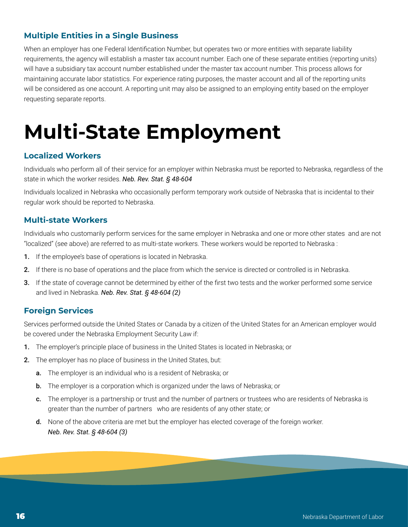# <span id="page-15-0"></span>**Multiple Entities in a Single Business**

When an employer has one Federal Identification Number, but operates two or more entities with separate liability requirements, the agency will establish a master tax account number. Each one of these separate entities (reporting units) will have a subsidiary tax account number established under the master tax account number. This process allows for maintaining accurate labor statistics. For experience rating purposes, the master account and all of the reporting units will be considered as one account. A reporting unit may also be assigned to an employing entity based on the employer requesting separate reports.

# **Multi-State Employment**

### **Localized Workers**

Individuals who perform all of their service for an employer within Nebraska must be reported to Nebraska, regardless of the state in which the worker resides. *Neb. Rev. Stat. § 48-604*

Individuals localized in Nebraska who occasionally perform temporary work outside of Nebraska that is incidental to their regular work should be reported to Nebraska.

### **Multi-state Workers**

Individuals who customarily perform services for the same employer in Nebraska and one or more other states and are not "localized" (see above) are referred to as multi-state workers. These workers would be reported to Nebraska :

- 1. If the employee's base of operations is located in Nebraska.
- 2. If there is no base of operations and the place from which the service is directed or controlled is in Nebraska.
- 3. If the state of coverage cannot be determined by either of the first two tests and the worker performed some service and lived in Nebraska. *Neb. Rev. Stat. § 48-604 (2)*

### **Foreign Services**

Services performed outside the United States or Canada by a citizen of the United States for an American employer would be covered under the Nebraska Employment Security Law if:

- 1. The employer's principle place of business in the United States is located in Nebraska; or
- 2. The employer has no place of business in the United States, but:
	- a. The employer is an individual who is a resident of Nebraska; or
	- b. The employer is a corporation which is organized under the laws of Nebraska; or
	- c. The employer is a partnership or trust and the number of partners or trustees who are residents of Nebraska is greater than the number of partners who are residents of any other state; or
	- d. None of the above criteria are met but the employer has elected coverage of the foreign worker. *Neb. Rev. Stat. § 48-604 (3)*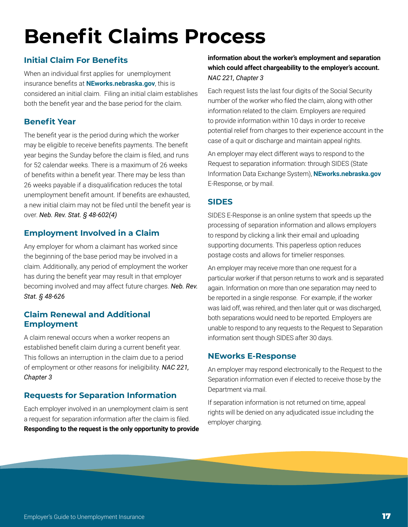# <span id="page-16-0"></span>**Benefit Claims Process**

# **Initial Claim For Benefits**

When an individual first applies for unemployment insurance benefits at **[NEworks.nebraska.gov](http://NEworks.nebraska.gov)**, this is considered an initial claim. Filing an initial claim establishes both the benefit year and the base period for the claim.

# **Benefit Year**

The benefit year is the period during which the worker may be eligible to receive benefits payments. The benefit year begins the Sunday before the claim is filed, and runs for 52 calendar weeks. There is a maximum of 26 weeks of benefits within a benefit year. There may be less than 26 weeks payable if a disqualification reduces the total unemployment benefit amount. If benefits are exhausted, a new initial claim may not be filed until the benefit year is over. *Neb. Rev. Stat. § 48-602(4)*

# **Employment Involved in a Claim**

Any employer for whom a claimant has worked since the beginning of the base period may be involved in a claim. Additionally, any period of employment the worker has during the benefit year may result in that employer becoming involved and may affect future charges. *Neb. Rev. Stat. § 48-626*

### **Claim Renewal and Additional Employment**

A claim renewal occurs when a worker reopens an established benefit claim during a current benefit year. This follows an interruption in the claim due to a period of employment or other reasons for ineligibility. *NAC 221, Chapter 3*

# **Requests for Separation Information**

Each employer involved in an unemployment claim is sent a request for separation information after the claim is filed. **Responding to the request is the only opportunity to provide** 

### **information about the worker's employment and separation which could affect chargeability to the employer's account.** *NAC 221, Chapter 3*

Each request lists the last four digits of the Social Security number of the worker who filed the claim, along with other information related to the claim. Employers are required to provide information within 10 days in order to receive potential relief from charges to their experience account in the case of a quit or discharge and maintain appeal rights.

An employer may elect different ways to respond to the Request to separation information: through SIDES (State Information Data Exchange System), **[NEworks.nebraska.gov](http://NEworks.nebraska.gov )**  E-Response, or by mail.

# **SIDES**

SIDES E-Response is an online system that speeds up the processing of separation information and allows employers to respond by clicking a link their email and uploading supporting documents. This paperless option reduces postage costs and allows for timelier responses.

An employer may receive more than one request for a particular worker if that person returns to work and is separated again. Information on more than one separation may need to be reported in a single response. For example, if the worker was laid off, was rehired, and then later quit or was discharged, both separations would need to be reported. Employers are unable to respond to any requests to the Request to Separation information sent though SIDES after 30 days.

### **NEworks E-Response**

An employer may respond electronically to the Request to the Separation information even if elected to receive those by the Department via mail.

If separation information is not returned on time, appeal rights will be denied on any adjudicated issue including the employer charging.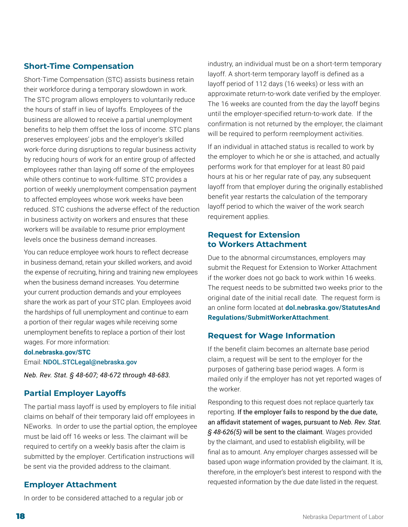# <span id="page-17-0"></span>**Short-Time Compensation**

Short-Time Compensation (STC) assists business retain their workforce during a temporary slowdown in work. The STC program allows employers to voluntarily reduce the hours of staff in lieu of layoffs. Employees of the business are allowed to receive a partial unemployment benefits to help them offset the loss of income. STC plans preserves employees' jobs and the employer's skilled work-force during disruptions to regular business activity by reducing hours of work for an entire group of affected employees rather than laying off some of the employees while others continue to work-fulltime. STC provides a portion of weekly unemployment compensation payment to affected employees whose work weeks have been reduced. STC cushions the adverse effect of the reduction in business activity on workers and ensures that these workers will be available to resume prior employment levels once the business demand increases.

You can reduce employee work hours to reflect decrease in business demand, retain your skilled workers, and avoid the expense of recruiting, hiring and training new employees when the business demand increases. You determine your current production demands and your employees share the work as part of your STC plan. Employees avoid the hardships of full unemployment and continue to earn a portion of their regular wages while receiving some unemployment benefits to replace a portion of their lost wages. For more information:

#### **[dol.nebraska.gov/STC](http://dol.nebraska.gov/STC)**

Email: [NDOL.STCLegal@nebraska.gov](mailto:NDOL.STCLegal%40nebraska.gov?subject=)

*Neb. Rev. Stat. § 48-607; 48-672 through 48-683.*

### **Partial Employer Layoffs**

The partial mass layoff is used by employers to file initial claims on behalf of their temporary laid off employees in NEworks. In order to use the partial option, the employee must be laid off 16 weeks or less. The claimant will be required to certify on a weekly basis after the claim is submitted by the employer. Certification instructions will be sent via the provided address to the claimant.

### **Employer Attachment**

In order to be considered attached to a regular job or

industry, an individual must be on a short-term temporary layoff. A short-term temporary layoff is defined as a layoff period of 112 days (16 weeks) or less with an approximate return-to-work date verified by the employer. The 16 weeks are counted from the day the layoff begins until the employer-specified return-to-work date. If the confirmation is not returned by the employer, the claimant will be required to perform reemployment activities.

If an individual in attached status is recalled to work by the employer to which he or she is attached, and actually performs work for that employer for at least 80 paid hours at his or her regular rate of pay, any subsequent layoff from that employer during the originally established benefit year restarts the calculation of the temporary layoff period to which the waiver of the work search requirement applies.

### **Request for Extension to Workers Attachment**

Due to the abnormal circumstances, employers may submit the Request for Extension to Worker Attachment if the worker does not go back to work within 16 weeks. The request needs to be submitted two weeks prior to the original date of the initial recall date. The request form is an online form located at **[dol.nebraska.gov/StatutesAnd](http://dol.nebraska.gov/StatutesAnd Regulations/SubmitWorkerAttachment)  [Regulations/SubmitWorkerAttachment](http://dol.nebraska.gov/StatutesAnd Regulations/SubmitWorkerAttachment)**[.](http://dol.nebraska.gov/StatutesAndRegulations/SubmitWorkerAttachment )

### **Request for Wage Information**

If the benefit claim becomes an alternate base period claim, a request will be sent to the employer for the purposes of gathering base period wages. A form is mailed only if the employer has not yet reported wages of the worker.

Responding to this request does not replace quarterly tax reporting. If the employer fails to respond by the due date, an affidavit statement of wages, pursuant to *Neb. Rev. Stat. § 48-626(5)* will be sent to the claimant. Wages provided by the claimant, and used to establish eligibility, will be final as to amount. Any employer charges assessed will be based upon wage information provided by the claimant. It is, therefore, in the employer's best interest to respond with the requested information by the due date listed in the request.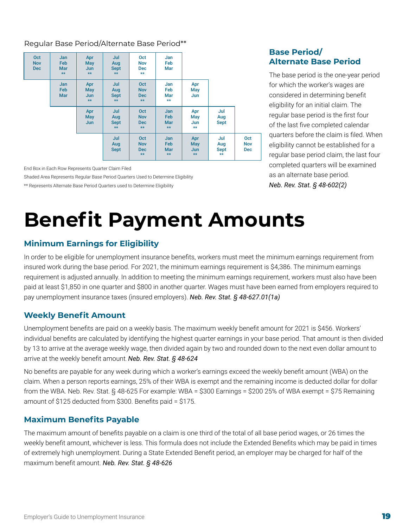### <span id="page-18-0"></span>Regular Base Period/Alternate Base Period\*\*

| Oct<br><b>Nov</b><br><b>Dec</b> | Jan<br>Feb<br><b>Mar</b><br>$**$ | Apr<br><b>May</b><br><b>Jun</b><br>$**$ | Jul<br>Aug<br><b>Sept</b><br>$**$ | Oct<br><b>Nov</b><br><b>Dec</b><br>$**$ | Jan<br>Feb<br>Mar                       |                                         |                                           |                                 |
|---------------------------------|----------------------------------|-----------------------------------------|-----------------------------------|-----------------------------------------|-----------------------------------------|-----------------------------------------|-------------------------------------------|---------------------------------|
|                                 | <b>Jan</b><br>Feb<br><b>Mar</b>  | Apr<br>May<br>Jun<br>$**$               | Jul<br>Aug<br><b>Sept</b><br>$**$ | Oct<br><b>Nov</b><br>Dec<br>$**$        | Jan<br>Feb<br>Mar<br>$**$               | Apr<br>May<br>Jun                       |                                           |                                 |
|                                 |                                  | Apr<br>May<br><b>Jun</b>                | Jul<br>Aug<br><b>Sept</b><br>$**$ | Oct<br><b>Nov</b><br><b>Dec</b><br>$**$ | Jan<br>Feb<br><b>Mar</b><br>$**$        | Apr<br>May<br>Jun<br>$**$               | Jul<br>Aug<br><b>Sept</b>                 |                                 |
|                                 |                                  |                                         | Jul<br>Aug<br><b>Sept</b>         | Oct<br><b>Nov</b><br>Dec<br>$**$        | <b>Jan</b><br>Feb<br><b>Mar</b><br>$**$ | Apr<br><b>May</b><br><b>Jun</b><br>$**$ | Jul<br>Aug<br><b>Sept</b><br>$\star\star$ | Oct<br><b>Nov</b><br><b>Dec</b> |

End Box in Each Row Represents Quarter Claim Filed

Shaded Area Represents Regular Base Period Quarters Used to Determine Eligibility

\*\* Represents Alternate Base Period Quarters used to Determine Eligibility

### **Base Period/ Alternate Base Period**

The base period is the one-year period for which the worker's wages are considered in determining benefit eligibility for an initial claim. The regular base period is the first four of the last five completed calendar quarters before the claim is filed. When eligibility cannot be established for a regular base period claim, the last four completed quarters will be examined as an alternate base period. *Neb. Rev. Stat. § 48-602(2)*

# **Benefit Payment Amounts**

# **Minimum Earnings for Eligibility**

In order to be eligible for unemployment insurance benefits, workers must meet the minimum earnings requirement from insured work during the base period. For 2021, the minimum earnings requirement is \$4,386. The minimum earnings requirement is adjusted annually. In addition to meeting the minimum earnings requirement, workers must also have been paid at least \$1,850 in one quarter and \$800 in another quarter. Wages must have been earned from employers required to pay unemployment insurance taxes (insured employers). *Neb. Rev. Stat. § 48-627.01(1a)*

### **Weekly Benefit Amount**

Unemployment benefits are paid on a weekly basis. The maximum weekly benefit amount for 2021 is \$456. Workers' individual benefits are calculated by identifying the highest quarter earnings in your base period. That amount is then divided by 13 to arrive at the average weekly wage, then divided again by two and rounded down to the next even dollar amount to arrive at the weekly benefit amount. *Neb. Rev. Stat. § 48-624*

No benefits are payable for any week during which a worker's earnings exceed the weekly benefit amount (WBA) on the claim. When a person reports earnings, 25% of their WBA is exempt and the remaining income is deducted dollar for dollar from the WBA. Neb. Rev. Stat. § 48-625 For example: WBA = \$300 Earnings = \$200 25% of WBA exempt = \$75 Remaining amount of \$125 deducted from \$300. Benefits paid = \$175.

### **Maximum Benefits Payable**

The maximum amount of benefits payable on a claim is one third of the total of all base period wages, or 26 times the weekly benefit amount, whichever is less. This formula does not include the Extended Benefits which may be paid in times of extremely high unemployment. During a State Extended Benefit period, an employer may be charged for half of the maximum benefit amount. *Neb. Rev. Stat. § 48-626*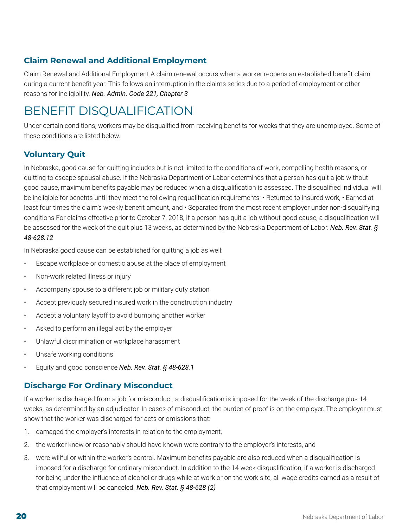# <span id="page-19-0"></span>**Claim Renewal and Additional Employment**

Claim Renewal and Additional Employment A claim renewal occurs when a worker reopens an established benefit claim during a current benefit year. This follows an interruption in the claims series due to a period of employment or other reasons for ineligibility. *Neb. Admin. Code 221, Chapter 3*

# BENEFIT DISQUALIFICATION

Under certain conditions, workers may be disqualified from receiving benefits for weeks that they are unemployed. Some of these conditions are listed below.

# **Voluntary Quit**

In Nebraska, good cause for quitting includes but is not limited to the conditions of work, compelling health reasons, or quitting to escape spousal abuse. If the Nebraska Department of Labor determines that a person has quit a job without good cause, maximum benefits payable may be reduced when a disqualification is assessed. The disqualified individual will be ineligible for benefits until they meet the following requalification requirements: • Returned to insured work, • Earned at least four times the claim's weekly benefit amount, and • Separated from the most recent employer under non-disqualifying conditions For claims effective prior to October 7, 2018, if a person has quit a job without good cause, a disqualification will be assessed for the week of the quit plus 13 weeks, as determined by the Nebraska Department of Labor. *Neb. Rev. Stat. § 48-628.12*

In Nebraska good cause can be established for quitting a job as well:

- Escape workplace or domestic abuse at the place of employment
- Non-work related illness or injury
- Accompany spouse to a different job or military duty station
- Accept previously secured insured work in the construction industry
- Accept a voluntary layoff to avoid bumping another worker
- Asked to perform an illegal act by the employer
- Unlawful discrimination or workplace harassment
- Unsafe working conditions
- Equity and good conscience *Neb. Rev. Stat. § 48-628.1*

### **Discharge For Ordinary Misconduct**

If a worker is discharged from a job for misconduct, a disqualification is imposed for the week of the discharge plus 14 weeks, as determined by an adjudicator. In cases of misconduct, the burden of proof is on the employer. The employer must show that the worker was discharged for acts or omissions that:

- 1. damaged the employer's interests in relation to the employment,
- 2. the worker knew or reasonably should have known were contrary to the employer's interests, and
- 3. were willful or within the worker's control. Maximum benefits payable are also reduced when a disqualification is imposed for a discharge for ordinary misconduct. In addition to the 14 week disqualification, if a worker is discharged for being under the influence of alcohol or drugs while at work or on the work site, all wage credits earned as a result of that employment will be canceled. *Neb. Rev. Stat. § 48-628 (2)*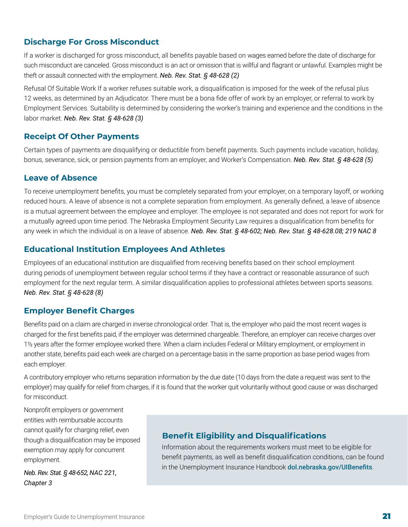### <span id="page-20-0"></span>**Discharge For Gross Misconduct**

If a worker is discharged for gross misconduct, all benefits payable based on wages earned before the date of discharge for such misconduct are canceled. Gross misconduct is an act or omission that is willful and flagrant or unlawful. Examples might be theft or assault connected with the employment. *Neb. Rev. Stat. § 48-628 (2)*

Refusal Of Suitable Work If a worker refuses suitable work, a disqualification is imposed for the week of the refusal plus 12 weeks, as determined by an Adjudicator. There must be a bona fide offer of work by an employer, or referral to work by Employment Services. Suitability is determined by considering the worker's training and experience and the conditions in the labor market. *Neb. Rev. Stat. § 48-628 (3)*

### **Receipt Of Other Payments**

Certain types of payments are disqualifying or deductible from benefit payments. Such payments include vacation, holiday, bonus, severance, sick, or pension payments from an employer, and Worker's Compensation. *Neb. Rev. Stat. § 48-628 (5)*

### **Leave of Absence**

To receive unemployment benefits, you must be completely separated from your employer, on a temporary layoff, or working reduced hours. A leave of absence is not a complete separation from employment. As generally defined, a leave of absence is a mutual agreement between the employee and employer. The employee is not separated and does not report for work for a mutually agreed upon time period. The Nebraska Employment Security Law requires a disqualification from benefits for any week in which the individual is on a leave of absence. *Neb. Rev. Stat. § 48-602; Neb. Rev. Stat. § 48-628.08; 219 NAC 8*

### **Educational Institution Employees And Athletes**

Employees of an educational institution are disqualified from receiving benefits based on their school employment during periods of unemployment between regular school terms if they have a contract or reasonable assurance of such employment for the next regular term. A similar disqualification applies to professional athletes between sports seasons. *Neb. Rev. Stat. § 48-628 (8)*

### **Employer Benefit Charges**

Benefits paid on a claim are charged in inverse chronological order. That is, the employer who paid the most recent wages is charged for the first benefits paid, if the employer was determined chargeable. Therefore, an employer can receive charges over 1½ years after the former employee worked there. When a claim includes Federal or Military employment, or employment in another state, benefits paid each week are charged on a percentage basis in the same proportion as base period wages from each employer.

A contributory employer who returns separation information by the due date (10 days from the date a request was sent to the employer) may qualify for relief from charges, if it is found that the worker quit voluntarily without good cause or was discharged for misconduct.

Nonprofit employers or government entities with reimbursable accounts cannot qualify for charging relief, even though a disqualification may be imposed exemption may apply for concurrent employment.

*Neb. Rev. Stat. § 48-652, NAC 221, Chapter 3*

# **Benefit Eligibility and Disqualifications**

Information about the requirements workers must meet to be eligible for benefit payments, as well as benefit disqualification conditions, can be found in the Unemployment Insurance Handbook **[dol.nebraska.gov/UIBenefits](https://dol.nebraska.gov/UIBenefits)**.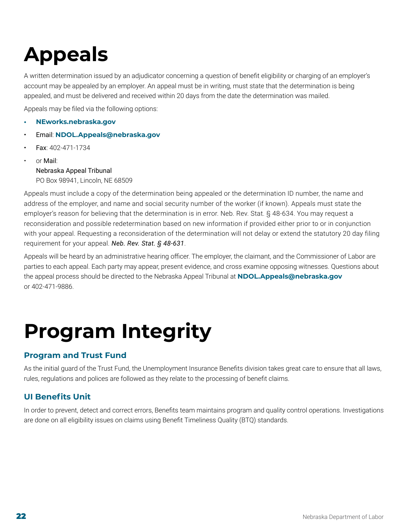# <span id="page-21-0"></span>**Appeals**

A written determination issued by an adjudicator concerning a question of benefit eligibility or charging of an employer's account may be appealed by an employer. An appeal must be in writing, must state that the determination is being appealed, and must be delivered and received within 20 days from the date the determination was mailed.

Appeals may be filed via the following options:

- **• [NEworks.nebraska.gov](http://NEworks.nebraska.gov)**
- Email: **[NDOL.Appeals@nebraska.gov](mailto:NDOL.Appeals@nebraska.gov)**
- Fax: 402-471-1734
- or Mail: Nebraska Appeal Tribunal PO Box 98941, Lincoln, NE 68509

Appeals must include a copy of the determination being appealed or the determination ID number, the name and address of the employer, and name and social security number of the worker (if known). Appeals must state the employer's reason for believing that the determination is in error. Neb. Rev. Stat. § 48-634. You may request a reconsideration and possible redetermination based on new information if provided either prior to or in conjunction with your appeal. Requesting a reconsideration of the determination will not delay or extend the statutory 20 day filing requirement for your appeal. *Neb. Rev. Stat. § 48-631*.

Appeals will be heard by an administrative hearing officer. The employer, the claimant, and the Commissioner of Labor are parties to each appeal. Each party may appear, present evidence, and cross examine opposing witnesses. Questions about the appeal process should be directed to the Nebraska Appeal Tribunal at **[NDOL.Appeals@nebraska.gov](mailto:NDOL.Appeals@nebraska.gov)** or 402-471-9886.

# **Program Integrity**

### **Program and Trust Fund**

As the initial guard of the Trust Fund, the Unemployment Insurance Benefits division takes great care to ensure that all laws, rules, regulations and polices are followed as they relate to the processing of benefit claims.

# **UI Benefits Unit**

In order to prevent, detect and correct errors, Benefits team maintains program and quality control operations. Investigations are done on all eligibility issues on claims using Benefit Timeliness Quality (BTQ) standards.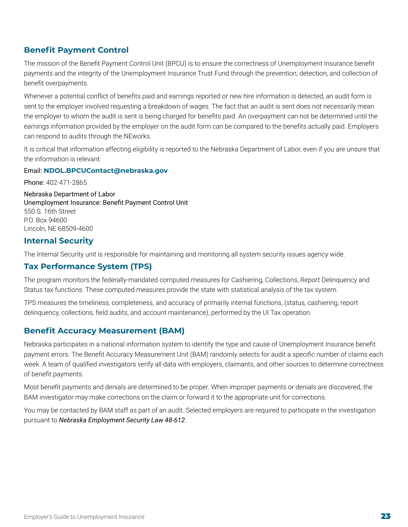## <span id="page-22-0"></span>**Benefit Payment Control**

The mission of the Benefit Payment Control Unit (BPCU) is to ensure the correctness of Unemployment Insurance benefit payments and the integrity of the Unemployment Insurance Trust Fund through the prevention, detection, and collection of benefit overpayments.

Whenever a potential conflict of benefits paid and earnings reported or new hire information is detected, an audit form is sent to the employer involved requesting a breakdown of wages. The fact that an audit is sent does not necessarily mean the employer to whom the audit is sent is being charged for benefits paid. An overpayment can not be determined until the earnings information provided by the employer on the audit form can be compared to the benefits actually paid. Employers can respond to audits through the NEworks.

It is critical that information affecting eligibility is reported to the Nebraska Department of Labor, even if you are unsure that the information is relevant.

#### Email: **[NDOL.BPCUContact@nebraska.gov](mailto:NDOL.BPCUContact@nebraska.gov)**

Phone: 402-471-2865

Nebraska Department of Labor Unemployment Insurance: Benefit Payment Control Unit 550 S. 16th Street P.O. Box 94600 Lincoln, NE 68509-4600

### **Internal Security**

The Internal Security unit is responsible for maintaining and monitoring all system security issues agency wide.

### **Tax Performance System (TPS)**

The program monitors the federally-mandated computed measures for Cashiering, Collections, Report Delinquency and Status tax functions. These computed measures provide the state with statistical analysis of the tax system.

TPS measures the timeliness, completeness, and accuracy of primarily internal functions, (status, cashiering, report delinquency, collections, field audits, and account maintenance), performed by the UI Tax operation.

### **Benefit Accuracy Measurement (BAM)**

Nebraska participates in a national information system to identify the type and cause of Unemployment Insurance benefit payment errors. The Benefit Accuracy Measurement Unit (BAM) randomly selects for audit a specific number of claims each week. A team of qualified investigators verify all data with employers, claimants, and other sources to determine correctness of benefit payments.

Most benefit payments and denials are determined to be proper. When improper payments or denials are discovered, the BAM investigator may make corrections on the claim or forward it to the appropriate unit for corrections.

You may be contacted by BAM staff as part of an audit. Selected employers are required to participate in the investigation pursuant to *Nebraska Employment Security Law 48-612*.